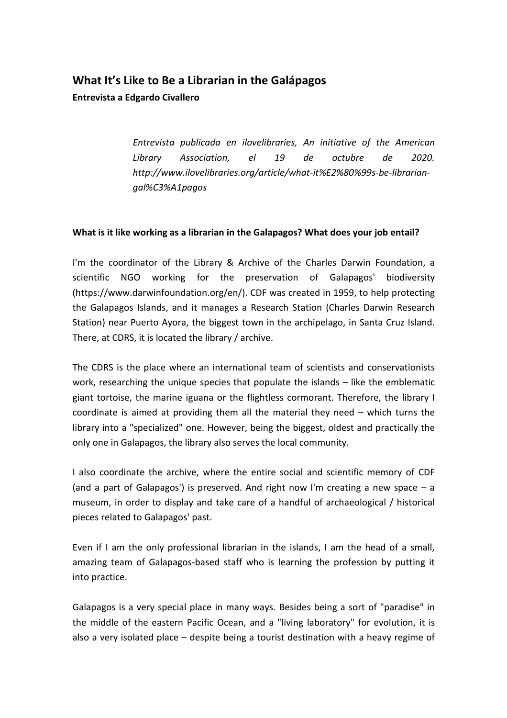# **What It's Like to Be a Librarian in the Galápagos**

### **Entrevista a Edgardo Civallero**

*Entrevista publicada en ilovelibraries, An initiative of the American Library Association, el 19 de octubre de 2020. http://www.ilovelibraries.org/article/what-it%E2%80%99s-be-librariangal%C3%A1pagos* 

#### **What is it like working as a librarian in the Galapagos? What does your job entail?**

I'm the coordinator of the Library & Archive of the Charles Darwin Foundation, a scientific NGO working for the preservation of Galapagos' biodiversity (https://www.darwinfoundation.org/en/). CDF was created in 1959, to help protecting the Galapagos Islands, and it manages a Research Station (Charles Darwin Research Station) near Puerto Ayora, the biggest town in the archipelago, in Santa Cruz Island. There, at CDRS, it is located the library / archive.

The CDRS is the place where an international team of scientists and conservationists work, researching the unique species that populate the islands – like the emblematic giant tortoise, the marine iguana or the flightless cormorant. Therefore, the library I coordinate is aimed at providing them all the material they need – which turns the library into a "specialized" one. However, being the biggest, oldest and practically the only one in Galapagos, the library also serves the local community.

I also coordinate the archive, where the entire social and scientific memory of CDF (and a part of Galapagos') is preserved. And right now I'm creating a new space  $-$  a museum, in order to display and take care of a handful of archaeological / historical pieces related to Galapagos' past.

Even if I am the only professional librarian in the islands, I am the head of a small, amazing team of Galapagos-based staff who is learning the profession by putting it into practice.

Galapagos is a very special place in many ways. Besides being a sort of "paradise" in the middle of the eastern Pacific Ocean, and a "living laboratory" for evolution, it is also a very isolated place – despite being a tourist destination with a heavy regime of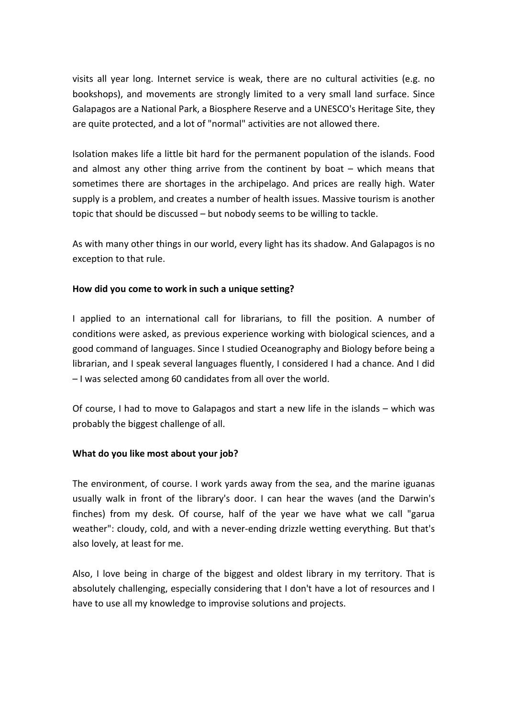visits all year long. Internet service is weak, there are no cultural activities (e.g. no bookshops), and movements are strongly limited to a very small land surface. Since Galapagos are a National Park, a Biosphere Reserve and a UNESCO's Heritage Site, they are quite protected, and a lot of "normal" activities are not allowed there.

Isolation makes life a little bit hard for the permanent population of the islands. Food and almost any other thing arrive from the continent by boat – which means that sometimes there are shortages in the archipelago. And prices are really high. Water supply is a problem, and creates a number of health issues. Massive tourism is another topic that should be discussed – but nobody seems to be willing to tackle.

As with many other things in our world, every light has its shadow. And Galapagos is no exception to that rule.

#### **How did you come to work in such a unique setting?**

I applied to an international call for librarians, to fill the position. A number of conditions were asked, as previous experience working with biological sciences, and a good command of languages. Since I studied Oceanography and Biology before being a librarian, and I speak several languages fluently, I considered I had a chance. And I did – I was selected among 60 candidates from all over the world.

Of course, I had to move to Galapagos and start a new life in the islands – which was probably the biggest challenge of all.

#### **What do you like most about your job?**

The environment, of course. I work yards away from the sea, and the marine iguanas usually walk in front of the library's door. I can hear the waves (and the Darwin's finches) from my desk. Of course, half of the year we have what we call "garua weather": cloudy, cold, and with a never-ending drizzle wetting everything. But that's also lovely, at least for me.

Also, I love being in charge of the biggest and oldest library in my territory. That is absolutely challenging, especially considering that I don't have a lot of resources and I have to use all my knowledge to improvise solutions and projects.